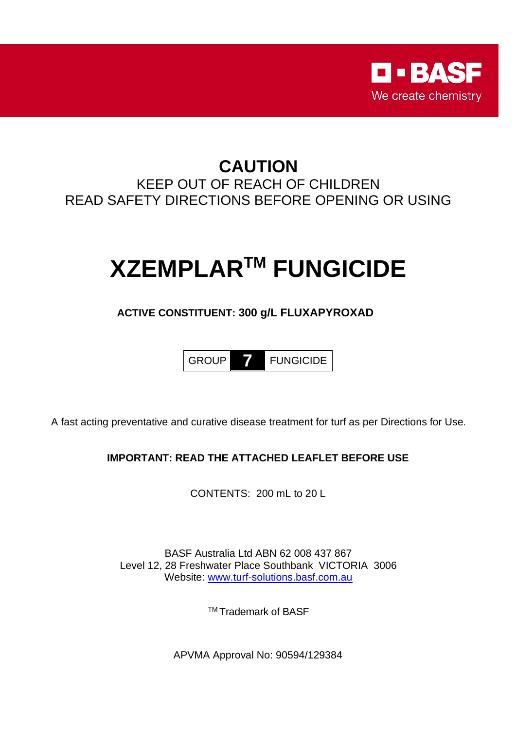

# **CAUTION** KEEP OUT OF REACH OF CHILDREN READ SAFETY DIRECTIONS BEFORE OPENING OR USING

# **XZEMPLAR TM FUNGICIDE**

### **ACTIVE CONSTITUENT: 300 g/L FLUXAPYROXAD**

GROUP **7** FUNGICIDE

A fast acting preventative and curative disease treatment for turf as per Directions for Use.

### **IMPORTANT: READ THE ATTACHED LEAFLET BEFORE USE**

CONTENTS: 200 mL to 20 L

BASF Australia Ltd ABN 62 008 437 867 Level 12, 28 Freshwater Place Southbank VICTORIA 3006 Website: [www.turf-solutions.basf.com.au](http://www.turf-solutions.basf.com.au/)

TM Trademark of BASF

APVMA Approval No: 90594/129384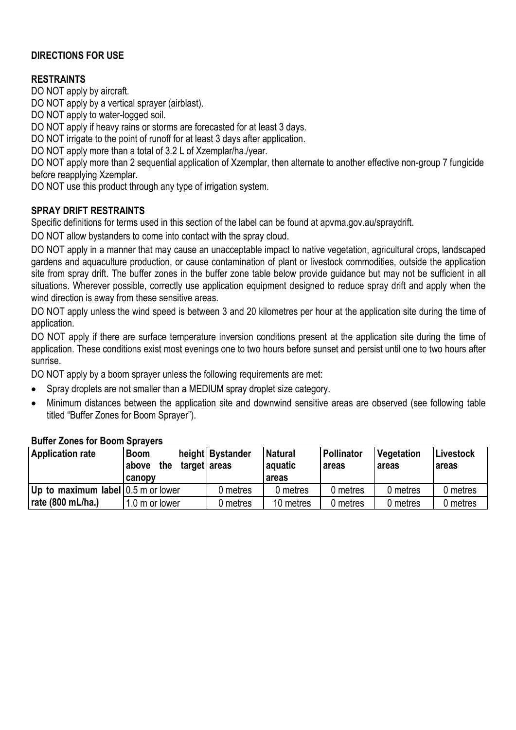### **DIRECTIONS FOR USE**

### **RESTRAINTS**

DO NOT apply by aircraft.

DO NOT apply by a vertical sprayer (airblast).

DO NOT apply to water-logged soil.

DO NOT apply if heavy rains or storms are forecasted for at least 3 days.

DO NOT irrigate to the point of runoff for at least 3 days after application.

DO NOT apply more than a total of 3.2 L of Xzemplar/ha./year.

DO NOT apply more than 2 sequential application of Xzemplar, then alternate to another effective non-group 7 fungicide before reapplying Xzemplar.

DO NOT use this product through any type of irrigation system.

### **SPRAY DRIFT RESTRAINTS**

Specific definitions for terms used in this section of the label can be found at apvma.gov.au/spraydrift.

DO NOT allow bystanders to come into contact with the spray cloud.

DO NOT apply in a manner that may cause an unacceptable impact to native vegetation, agricultural crops, landscaped gardens and aquaculture production, or cause contamination of plant or livestock commodities, outside the application site from spray drift. The buffer zones in the buffer zone table below provide guidance but may not be sufficient in all situations. Wherever possible, correctly use application equipment designed to reduce spray drift and apply when the wind direction is away from these sensitive areas.

DO NOT apply unless the wind speed is between 3 and 20 kilometres per hour at the application site during the time of application.

DO NOT apply if there are surface temperature inversion conditions present at the application site during the time of application. These conditions exist most evenings one to two hours before sunset and persist until one to two hours after sunrise.

DO NOT apply by a boom sprayer unless the following requirements are met:

- Spray droplets are not smaller than a MEDIUM spray droplet size category.
- Minimum distances between the application site and downwind sensitive areas are observed (see following table titled "Buffer Zones for Boom Sprayer").

| <b>Application rate</b>            | <b>Boom</b><br>the<br> above | height Bystander<br>target areas | <b>Natural</b><br>aquatic | Pollinator<br>areas | Vegetation<br>areas | Livestock<br>areas |  |  |  |
|------------------------------------|------------------------------|----------------------------------|---------------------------|---------------------|---------------------|--------------------|--|--|--|
|                                    | canopy                       |                                  | areas                     |                     |                     |                    |  |  |  |
| Up to maximum label 0.5 m or lower |                              | 0 metres                         | 0 metres                  | 0 metres            | 0 metres            | 0 metres           |  |  |  |
| rate (800 mL/ha.)                  | .0 m or lower                | 0 metres                         | 10 metres                 | ) metres            | 0 metres            | 0 metres           |  |  |  |

### **Buffer Zones for Boom Sprayers**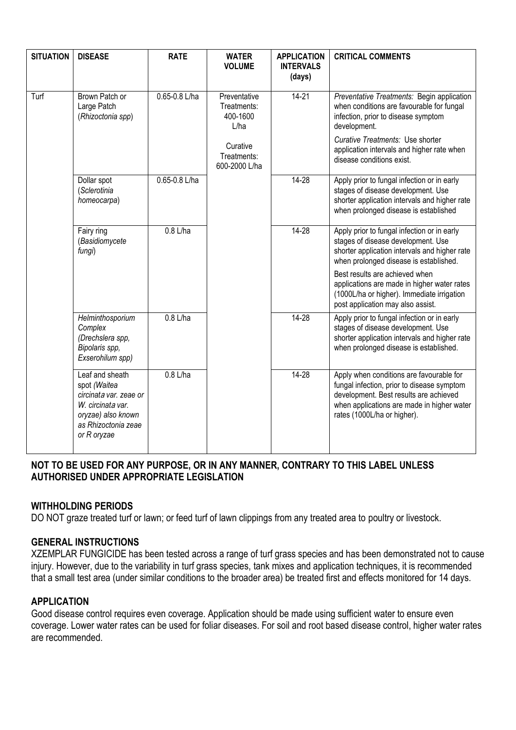| <b>SITUATION</b> | <b>DISEASE</b>                                                                                                                             | <b>RATE</b>   | <b>WATER</b><br><b>VOLUME</b>                   | <b>APPLICATION</b><br><b>INTERVALS</b><br>(days) | <b>CRITICAL COMMENTS</b>                                                                                                                                                                                      |
|------------------|--------------------------------------------------------------------------------------------------------------------------------------------|---------------|-------------------------------------------------|--------------------------------------------------|---------------------------------------------------------------------------------------------------------------------------------------------------------------------------------------------------------------|
| Turf             | Brown Patch or<br>Large Patch<br>(Rhizoctonia spp)                                                                                         | 0.65-0.8 L/ha | Preventative<br>Treatments:<br>400-1600<br>L/ha | $14 - 21$                                        | Preventative Treatments: Begin application<br>when conditions are favourable for fungal<br>infection, prior to disease symptom<br>development.                                                                |
|                  |                                                                                                                                            |               | Curative<br>Treatments:<br>600-2000 L/ha        |                                                  | Curative Treatments: Use shorter<br>application intervals and higher rate when<br>disease conditions exist.                                                                                                   |
|                  | Dollar spot<br>(Sclerotinia<br>homeocarpa)                                                                                                 | 0.65-0.8 L/ha |                                                 | $14 - 28$                                        | Apply prior to fungal infection or in early<br>stages of disease development. Use<br>shorter application intervals and higher rate<br>when prolonged disease is established                                   |
|                  | Fairy ring<br>(Basidiomycete<br>fungi)                                                                                                     | $0.8$ L/ha    |                                                 | $14 - 28$                                        | Apply prior to fungal infection or in early<br>stages of disease development. Use<br>shorter application intervals and higher rate<br>when prolonged disease is established.                                  |
|                  |                                                                                                                                            |               |                                                 |                                                  | Best results are achieved when<br>applications are made in higher water rates<br>(1000L/ha or higher). Immediate irrigation<br>post application may also assist.                                              |
|                  | Helminthosporium<br>Complex<br>(Drechslera spp,<br>Bipolaris spp,<br>Exserohilum spp)                                                      | $0.8$ L/ha    |                                                 | $14 - 28$                                        | Apply prior to fungal infection or in early<br>stages of disease development. Use<br>shorter application intervals and higher rate<br>when prolonged disease is established.                                  |
|                  | Leaf and sheath<br>spot (Waitea<br>circinata var. zeae or<br>W. circinata var.<br>oryzae) also known<br>as Rhizoctonia zeae<br>or R oryzae | $0.8$ L/ha    |                                                 | $14 - 28$                                        | Apply when conditions are favourable for<br>fungal infection, prior to disease symptom<br>development. Best results are achieved<br>when applications are made in higher water<br>rates (1000L/ha or higher). |

### **NOT TO BE USED FOR ANY PURPOSE, OR IN ANY MANNER, CONTRARY TO THIS LABEL UNLESS AUTHORISED UNDER APPROPRIATE LEGISLATION**

### **WITHHOLDING PERIODS**

DO NOT graze treated turf or lawn; or feed turf of lawn clippings from any treated area to poultry or livestock.

### **GENERAL INSTRUCTIONS**

XZEMPLAR FUNGICIDE has been tested across a range of turf grass species and has been demonstrated not to cause injury. However, due to the variability in turf grass species, tank mixes and application techniques, it is recommended that a small test area (under similar conditions to the broader area) be treated first and effects monitored for 14 days.

### **APPLICATION**

Good disease control requires even coverage. Application should be made using sufficient water to ensure even coverage. Lower water rates can be used for foliar diseases. For soil and root based disease control, higher water rates are recommended.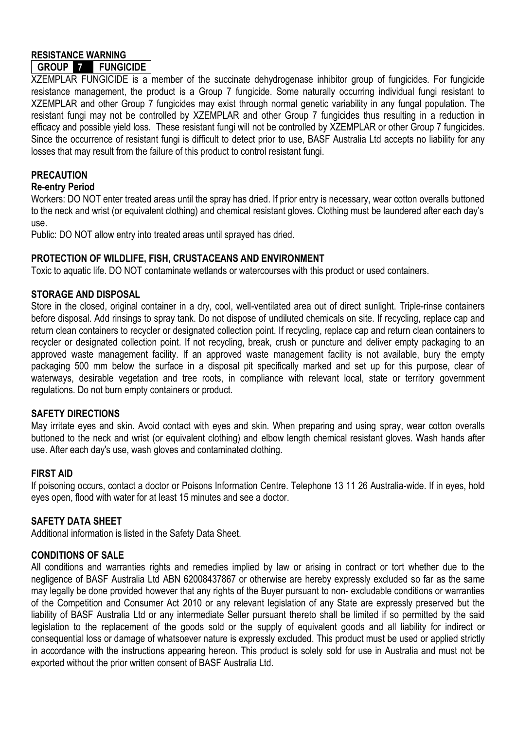# **RESISTANCE WARNING**

## **GROUP 7 FUNGICIDE**

XZEMPLAR FUNGICIDE is a member of the succinate dehydrogenase inhibitor group of fungicides. For fungicide resistance management, the product is a Group 7 fungicide. Some naturally occurring individual fungi resistant to XZEMPLAR and other Group 7 fungicides may exist through normal genetic variability in any fungal population. The resistant fungi may not be controlled by XZEMPLAR and other Group 7 fungicides thus resulting in a reduction in efficacy and possible yield loss. These resistant fungi will not be controlled by XZEMPLAR or other Group 7 fungicides. Since the occurrence of resistant fungi is difficult to detect prior to use, BASF Australia Ltd accepts no liability for any losses that may result from the failure of this product to control resistant fungi.

### **PRECAUTION**

### **Re-entry Period**

Workers: DO NOT enter treated areas until the spray has dried. If prior entry is necessary, wear cotton overalls buttoned to the neck and wrist (or equivalent clothing) and chemical resistant gloves. Clothing must be laundered after each day's use.

Public: DO NOT allow entry into treated areas until sprayed has dried.

### **PROTECTION OF WILDLIFE, FISH, CRUSTACEANS AND ENVIRONMENT**

Toxic to aquatic life. DO NOT contaminate wetlands or watercourses with this product or used containers.

### **STORAGE AND DISPOSAL**

Store in the closed, original container in a dry, cool, well-ventilated area out of direct sunlight. Triple-rinse containers before disposal. Add rinsings to spray tank. Do not dispose of undiluted chemicals on site. If recycling, replace cap and return clean containers to recycler or designated collection point. If recycling, replace cap and return clean containers to recycler or designated collection point. If not recycling, break, crush or puncture and deliver empty packaging to an approved waste management facility. If an approved waste management facility is not available, bury the empty packaging 500 mm below the surface in a disposal pit specifically marked and set up for this purpose, clear of waterways, desirable vegetation and tree roots, in compliance with relevant local, state or territory government regulations. Do not burn empty containers or product.

### **SAFETY DIRECTIONS**

May irritate eyes and skin. Avoid contact with eyes and skin. When preparing and using spray, wear cotton overalls buttoned to the neck and wrist (or equivalent clothing) and elbow length chemical resistant gloves. Wash hands after use. After each day's use, wash gloves and contaminated clothing.

### **FIRST AID**

If poisoning occurs, contact a doctor or Poisons Information Centre. Telephone 13 11 26 Australia-wide. If in eyes, hold eyes open, flood with water for at least 15 minutes and see a doctor.

### **SAFETY DATA SHEET**

Additional information is listed in the Safety Data Sheet.

### **CONDITIONS OF SALE**

All conditions and warranties rights and remedies implied by law or arising in contract or tort whether due to the negligence of BASF Australia Ltd ABN 62008437867 or otherwise are hereby expressly excluded so far as the same may legally be done provided however that any rights of the Buyer pursuant to non- excludable conditions or warranties of the Competition and Consumer Act 2010 or any relevant legislation of any State are expressly preserved but the liability of BASF Australia Ltd or any intermediate Seller pursuant thereto shall be limited if so permitted by the said legislation to the replacement of the goods sold or the supply of equivalent goods and all liability for indirect or consequential loss or damage of whatsoever nature is expressly excluded. This product must be used or applied strictly in accordance with the instructions appearing hereon. This product is solely sold for use in Australia and must not be exported without the prior written consent of BASF Australia Ltd.